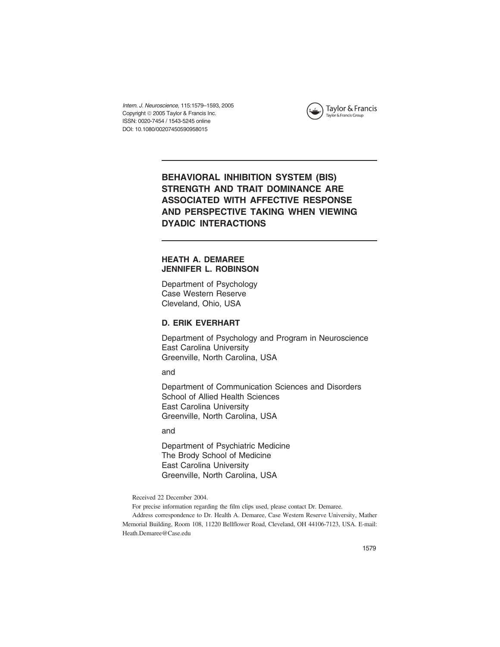Intern. J. Neuroscience, 115:1579–1593, 2005 Copyright © 2005 Taylor & Francis Inc. ISSN: 0020-7454 / 1543-5245 online DOI: 10.1080/00207450590958015



# **BEHAVIORAL INHIBITION SYSTEM (BIS) STRENGTH AND TRAIT DOMINANCE ARE ASSOCIATED WITH AFFECTIVE RESPONSE AND PERSPECTIVE TAKING WHEN VIEWING DYADIC INTERACTIONS**

# **HEATH A. DEMAREE JENNIFER L. ROBINSON**

Department of Psychology Case Western Reserve Cleveland, Ohio, USA

# **D. ERIK EVERHART**

Department of Psychology and Program in Neuroscience East Carolina University Greenville, North Carolina, USA

and

Department of Communication Sciences and Disorders School of Allied Health Sciences East Carolina University Greenville, North Carolina, USA

and

Department of Psychiatric Medicine The Brody School of Medicine East Carolina University Greenville, North Carolina, USA

Received 22 December 2004.

For precise information regarding the film clips used, please contact Dr. Demaree.

Address correspondence to Dr. Health A. Demaree, Case Western Reserve University, Mather Memorial Building, Room 108, 11220 Bellflower Road, Cleveland, OH 44106-7123, USA. E-mail: Heath.Demaree@Case.edu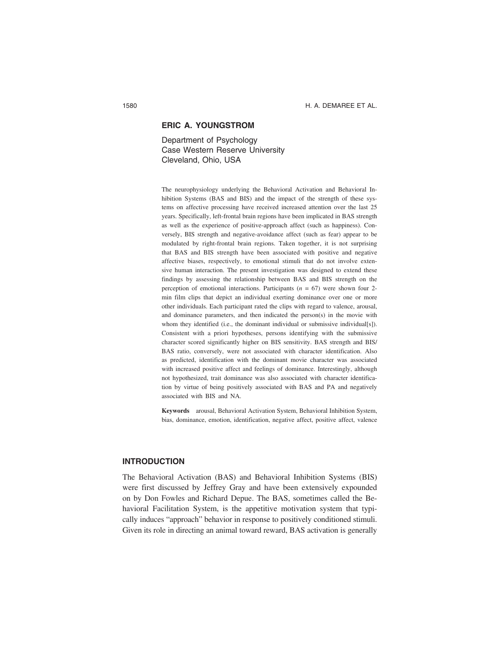# **ERIC A. YOUNGSTROM**

Department of Psychology Case Western Reserve University Cleveland, Ohio, USA

The neurophysiology underlying the Behavioral Activation and Behavioral Inhibition Systems (BAS and BIS) and the impact of the strength of these systems on affective processing have received increased attention over the last 25 years. Specifically, left-frontal brain regions have been implicated in BAS strength as well as the experience of positive-approach affect (such as happiness). Conversely, BIS strength and negative-avoidance affect (such as fear) appear to be modulated by right-frontal brain regions. Taken together, it is not surprising that BAS and BIS strength have been associated with positive and negative affective biases, respectively, to emotional stimuli that do not involve extensive human interaction. The present investigation was designed to extend these findings by assessing the relationship between BAS and BIS strength on the perception of emotional interactions. Participants (*n* = 67) were shown four 2 min film clips that depict an individual exerting dominance over one or more other individuals. Each participant rated the clips with regard to valence, arousal, and dominance parameters, and then indicated the person(s) in the movie with whom they identified (i.e., the dominant individual or submissive individual[s]). Consistent with a priori hypotheses, persons identifying with the submissive character scored significantly higher on BIS sensitivity. BAS strength and BIS/ BAS ratio, conversely, were not associated with character identification. Also as predicted, identification with the dominant movie character was associated with increased positive affect and feelings of dominance. Interestingly, although not hypothesized, trait dominance was also associated with character identification by virtue of being positively associated with BAS and PA and negatively associated with BIS and NA.

**Keywords** arousal, Behavioral Activation System, Behavioral Inhibition System, bias, dominance, emotion, identification, negative affect, positive affect, valence

#### **INTRODUCTION**

The Behavioral Activation (BAS) and Behavioral Inhibition Systems (BIS) were first discussed by Jeffrey Gray and have been extensively expounded on by Don Fowles and Richard Depue. The BAS, sometimes called the Behavioral Facilitation System, is the appetitive motivation system that typically induces "approach" behavior in response to positively conditioned stimuli. Given its role in directing an animal toward reward, BAS activation is generally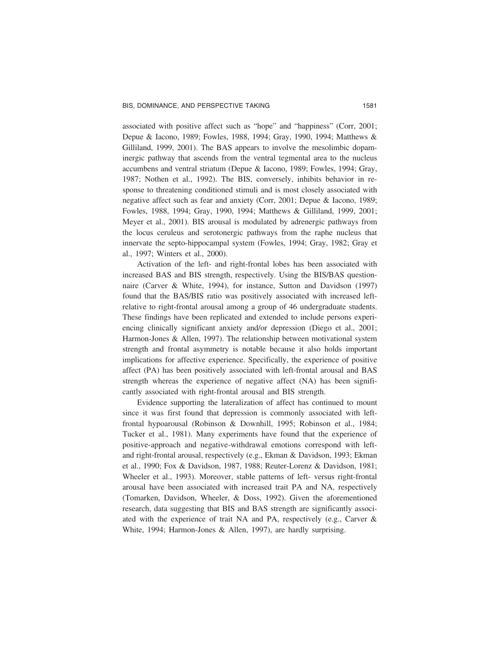associated with positive affect such as "hope" and "happiness" (Corr, 2001; Depue & Iacono, 1989; Fowles, 1988, 1994; Gray, 1990, 1994; Matthews & Gilliland, 1999, 2001). The BAS appears to involve the mesolimbic dopaminergic pathway that ascends from the ventral tegmental area to the nucleus accumbens and ventral striatum (Depue & Iacono, 1989; Fowles, 1994; Gray, 1987; Nothen et al., 1992). The BIS, conversely, inhibits behavior in response to threatening conditioned stimuli and is most closely associated with negative affect such as fear and anxiety (Corr, 2001; Depue & Iacono, 1989; Fowles, 1988, 1994; Gray, 1990, 1994; Matthews & Gilliland, 1999, 2001; Meyer et al., 2001). BIS arousal is modulated by adrenergic pathways from the locus ceruleus and serotonergic pathways from the raphe nucleus that innervate the septo-hippocampal system (Fowles, 1994; Gray, 1982; Gray et al., 1997; Winters et al., 2000).

Activation of the left- and right-frontal lobes has been associated with increased BAS and BIS strength, respectively. Using the BIS/BAS questionnaire (Carver & White, 1994), for instance, Sutton and Davidson (1997) found that the BAS/BIS ratio was positively associated with increased leftrelative to right-frontal arousal among a group of 46 undergraduate students. These findings have been replicated and extended to include persons experiencing clinically significant anxiety and/or depression (Diego et al., 2001; Harmon-Jones & Allen, 1997). The relationship between motivational system strength and frontal asymmetry is notable because it also holds important implications for affective experience. Specifically, the experience of positive affect (PA) has been positively associated with left-frontal arousal and BAS strength whereas the experience of negative affect (NA) has been significantly associated with right-frontal arousal and BIS strength.

Evidence supporting the lateralization of affect has continued to mount since it was first found that depression is commonly associated with leftfrontal hypoarousal (Robinson & Downhill, 1995; Robinson et al., 1984; Tucker et al., 1981). Many experiments have found that the experience of positive-approach and negative-withdrawal emotions correspond with leftand right-frontal arousal, respectively (e.g., Ekman & Davidson, 1993; Ekman et al., 1990; Fox & Davidson, 1987, 1988; Reuter-Lorenz & Davidson, 1981; Wheeler et al., 1993). Moreover, stable patterns of left- versus right-frontal arousal have been associated with increased trait PA and NA, respectively (Tomarken, Davidson, Wheeler, & Doss, 1992). Given the aforementioned research, data suggesting that BIS and BAS strength are significantly associated with the experience of trait NA and PA, respectively (e.g., Carver & White, 1994; Harmon-Jones & Allen, 1997), are hardly surprising.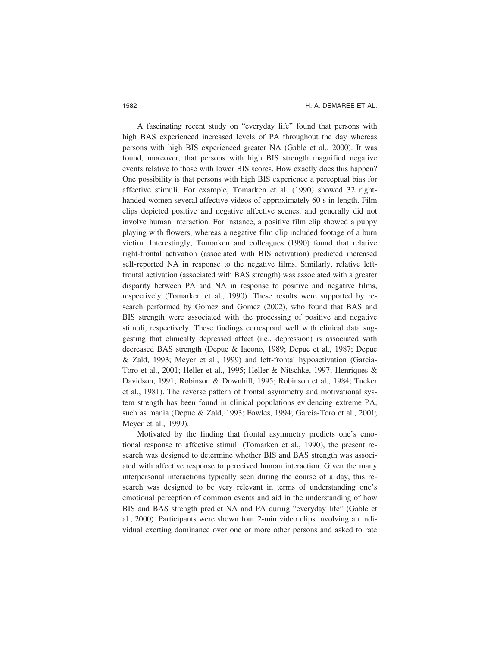A fascinating recent study on "everyday life" found that persons with high BAS experienced increased levels of PA throughout the day whereas persons with high BIS experienced greater NA (Gable et al., 2000). It was found, moreover, that persons with high BIS strength magnified negative events relative to those with lower BIS scores. How exactly does this happen? One possibility is that persons with high BIS experience a perceptual bias for affective stimuli. For example, Tomarken et al. (1990) showed 32 righthanded women several affective videos of approximately 60 s in length. Film clips depicted positive and negative affective scenes, and generally did not involve human interaction. For instance, a positive film clip showed a puppy playing with flowers, whereas a negative film clip included footage of a burn victim. Interestingly, Tomarken and colleagues (1990) found that relative right-frontal activation (associated with BIS activation) predicted increased self-reported NA in response to the negative films. Similarly, relative leftfrontal activation (associated with BAS strength) was associated with a greater disparity between PA and NA in response to positive and negative films, respectively (Tomarken et al., 1990). These results were supported by research performed by Gomez and Gomez (2002), who found that BAS and BIS strength were associated with the processing of positive and negative stimuli, respectively. These findings correspond well with clinical data suggesting that clinically depressed affect (i.e., depression) is associated with decreased BAS strength (Depue & Iacono, 1989; Depue et al., 1987; Depue & Zald, 1993; Meyer et al., 1999) and left-frontal hypoactivation (Garcia-Toro et al., 2001; Heller et al., 1995; Heller & Nitschke, 1997; Henriques & Davidson, 1991; Robinson & Downhill, 1995; Robinson et al., 1984; Tucker et al., 1981). The reverse pattern of frontal asymmetry and motivational system strength has been found in clinical populations evidencing extreme PA, such as mania (Depue & Zald, 1993; Fowles, 1994; Garcia-Toro et al., 2001; Meyer et al., 1999).

Motivated by the finding that frontal asymmetry predicts one's emotional response to affective stimuli (Tomarken et al., 1990), the present research was designed to determine whether BIS and BAS strength was associated with affective response to perceived human interaction. Given the many interpersonal interactions typically seen during the course of a day, this research was designed to be very relevant in terms of understanding one's emotional perception of common events and aid in the understanding of how BIS and BAS strength predict NA and PA during "everyday life" (Gable et al., 2000). Participants were shown four 2-min video clips involving an individual exerting dominance over one or more other persons and asked to rate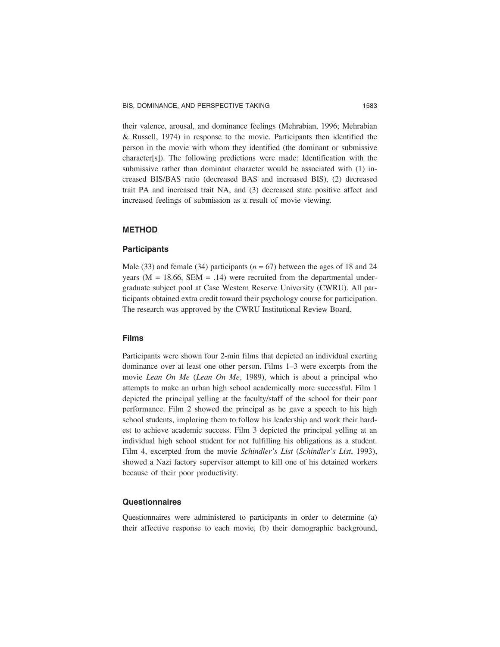their valence, arousal, and dominance feelings (Mehrabian, 1996; Mehrabian & Russell, 1974) in response to the movie. Participants then identified the person in the movie with whom they identified (the dominant or submissive character[s]). The following predictions were made: Identification with the submissive rather than dominant character would be associated with (1) increased BIS/BAS ratio (decreased BAS and increased BIS), (2) decreased trait PA and increased trait NA, and (3) decreased state positive affect and increased feelings of submission as a result of movie viewing.

### **METHOD**

### **Participants**

Male (33) and female (34) participants ( $n = 67$ ) between the ages of 18 and 24 years ( $M = 18.66$ , SEM = .14) were recruited from the departmental undergraduate subject pool at Case Western Reserve University (CWRU). All participants obtained extra credit toward their psychology course for participation. The research was approved by the CWRU Institutional Review Board.

#### **Films**

Participants were shown four 2-min films that depicted an individual exerting dominance over at least one other person. Films 1–3 were excerpts from the movie *Lean On Me* (*Lean On Me*, 1989), which is about a principal who attempts to make an urban high school academically more successful. Film 1 depicted the principal yelling at the faculty/staff of the school for their poor performance. Film 2 showed the principal as he gave a speech to his high school students, imploring them to follow his leadership and work their hardest to achieve academic success. Film 3 depicted the principal yelling at an individual high school student for not fulfilling his obligations as a student. Film 4, excerpted from the movie *Schindler's List* (*Schindler's List*, 1993), showed a Nazi factory supervisor attempt to kill one of his detained workers because of their poor productivity.

#### **Questionnaires**

Questionnaires were administered to participants in order to determine (a) their affective response to each movie, (b) their demographic background,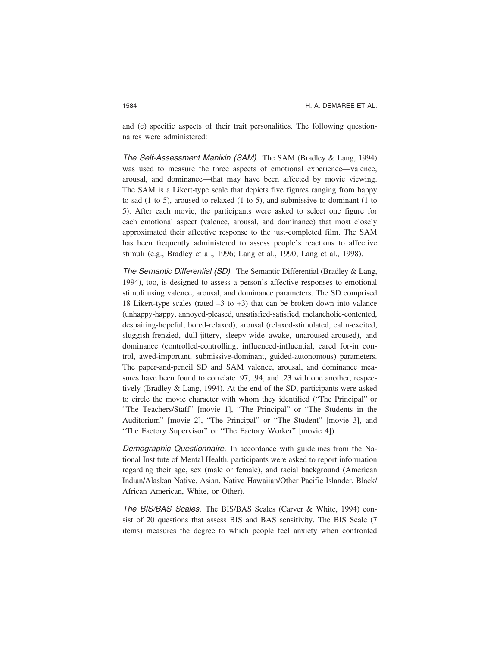and (c) specific aspects of their trait personalities. The following questionnaires were administered:

The Self-Assessment Manikin (SAM)*.* The SAM (Bradley & Lang, 1994) was used to measure the three aspects of emotional experience—valence, arousal, and dominance—that may have been affected by movie viewing. The SAM is a Likert-type scale that depicts five figures ranging from happy to sad (1 to 5), aroused to relaxed (1 to 5), and submissive to dominant (1 to 5). After each movie, the participants were asked to select one figure for each emotional aspect (valence, arousal, and dominance) that most closely approximated their affective response to the just-completed film. The SAM has been frequently administered to assess people's reactions to affective stimuli (e.g., Bradley et al., 1996; Lang et al., 1990; Lang et al., 1998).

The Semantic Differential (SD). The Semantic Differential (Bradley & Lang, 1994), too, is designed to assess a person's affective responses to emotional stimuli using valence, arousal, and dominance parameters. The SD comprised 18 Likert-type scales (rated  $-3$  to  $+3$ ) that can be broken down into valance (unhappy-happy, annoyed-pleased, unsatisfied-satisfied, melancholic-contented, despairing-hopeful, bored-relaxed), arousal (relaxed-stimulated, calm-excited, sluggish-frenzied, dull-jittery, sleepy-wide awake, unaroused-aroused), and dominance (controlled-controlling, influenced-influential, cared for-in control, awed-important, submissive-dominant, guided-autonomous) parameters. The paper-and-pencil SD and SAM valence, arousal, and dominance measures have been found to correlate .97, .94, and .23 with one another, respectively (Bradley & Lang, 1994). At the end of the SD, participants were asked to circle the movie character with whom they identified ("The Principal" or "The Teachers/Staff" [movie 1], "The Principal" or "The Students in the Auditorium" [movie 2], "The Principal" or "The Student" [movie 3], and "The Factory Supervisor" or "The Factory Worker" [movie 4]).

Demographic Questionnaire. In accordance with guidelines from the National Institute of Mental Health, participants were asked to report information regarding their age, sex (male or female), and racial background (American Indian/Alaskan Native, Asian, Native Hawaiian/Other Pacific Islander, Black/ African American, White, or Other).

The BIS/BAS Scales. The BIS/BAS Scales (Carver & White, 1994) consist of 20 questions that assess BIS and BAS sensitivity. The BIS Scale (7 items) measures the degree to which people feel anxiety when confronted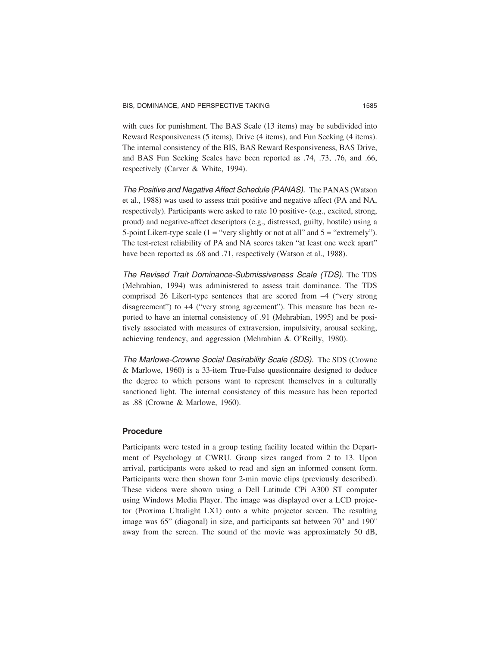with cues for punishment. The BAS Scale (13 items) may be subdivided into Reward Responsiveness (5 items), Drive (4 items), and Fun Seeking (4 items). The internal consistency of the BIS, BAS Reward Responsiveness, BAS Drive, and BAS Fun Seeking Scales have been reported as .74, .73, .76, and .66, respectively (Carver & White, 1994).

The Positive and Negative Affect Schedule (PANAS). The PANAS (Watson et al., 1988) was used to assess trait positive and negative affect (PA and NA, respectively). Participants were asked to rate 10 positive- (e.g., excited, strong, proud) and negative-affect descriptors (e.g., distressed, guilty, hostile) using a 5-point Likert-type scale  $(1 = "very slightly or not at all" and 5 = "extremely").$ The test-retest reliability of PA and NA scores taken "at least one week apart" have been reported as .68 and .71, respectively (Watson et al., 1988).

The Revised Trait Dominance-Submissiveness Scale (TDS). The TDS (Mehrabian, 1994) was administered to assess trait dominance. The TDS comprised 26 Likert-type sentences that are scored from –4 ("very strong disagreement") to +4 ("very strong agreement"). This measure has been reported to have an internal consistency of .91 (Mehrabian, 1995) and be positively associated with measures of extraversion, impulsivity, arousal seeking, achieving tendency, and aggression (Mehrabian & O'Reilly, 1980).

The Marlowe-Crowne Social Desirability Scale (SDS). The SDS (Crowne & Marlowe, 1960) is a 33-item True-False questionnaire designed to deduce the degree to which persons want to represent themselves in a culturally sanctioned light. The internal consistency of this measure has been reported as .88 (Crowne & Marlowe, 1960).

#### **Procedure**

Participants were tested in a group testing facility located within the Department of Psychology at CWRU. Group sizes ranged from 2 to 13. Upon arrival, participants were asked to read and sign an informed consent form. Participants were then shown four 2-min movie clips (previously described). These videos were shown using a Dell Latitude CPi A300 ST computer using Windows Media Player. The image was displayed over a LCD projector (Proxima Ultralight LX1) onto a white projector screen. The resulting image was 65" (diagonal) in size, and participants sat between 70" and 190" away from the screen. The sound of the movie was approximately 50 dB,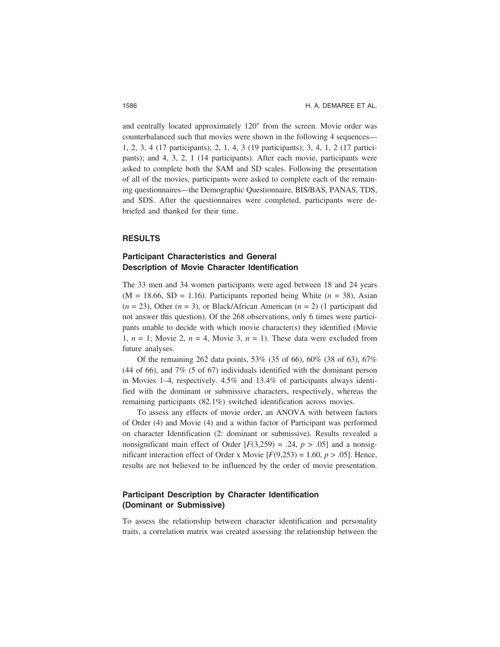and centrally located approximately 120" from the screen. Movie order was counterbalanced such that movies were shown in the following 4 sequences— 1, 2, 3, 4 (17 participants); 2, 1, 4, 3 (19 participants); 3, 4, 1, 2 (17 participants); and 4, 3, 2, 1 (14 participants). After each movie, participants were asked to complete both the SAM and SD scales. Following the presentation of all of the movies, participants were asked to complete each of the remaining questionnaires—the Demographic Questionnaire, BIS/BAS, PANAS, TDS, and SDS. After the questionnaires were completed, participants were debriefed and thanked for their time.

## **RESULTS**

# **Participant Characteristics and General Description of Movie Character Identification**

The 33 men and 34 women participants were aged between 18 and 24 years  $(M = 18.66, SD = 1.16)$ . Participants reported being White  $(n = 38)$ , Asian  $(n = 23)$ , Other  $(n = 3)$ , or Black/African American  $(n = 2)$  (1 participant did not answer this question). Of the 268 observations, only 6 times were participants unable to decide with which movie character(s) they identified (Movie 1,  $n = 1$ ; Movie 2,  $n = 4$ , Movie 3,  $n = 1$ ). These data were excluded from future analyses.

Of the remaining 262 data points, 53% (35 of 66), 60% (38 of 63), 67% (44 of 66), and 7% (5 of 67) individuals identified with the dominant person in Movies 1–4, respectively. 4.5% and 13.4% of participants always identified with the dominant or submissive characters, respectively, whereas the remaining participants (82.1%) switched identification across movies.

To assess any effects of movie order, an ANOVA with between factors of Order (4) and Movie (4) and a within factor of Participant was performed on character Identification (2: dominant or submissive). Results revealed a nonsignificant main effect of Order  $[F(3,259) = .24, p > .05]$  and a nonsignificant interaction effect of Order x Movie  $[F(9,253) = 1.60, p > .05]$ . Hence, results are not believed to be influenced by the order of movie presentation.

# **Participant Description by Character Identification (Dominant or Submissive)**

To assess the relationship between character identification and personality traits, a correlation matrix was created assessing the relationship between the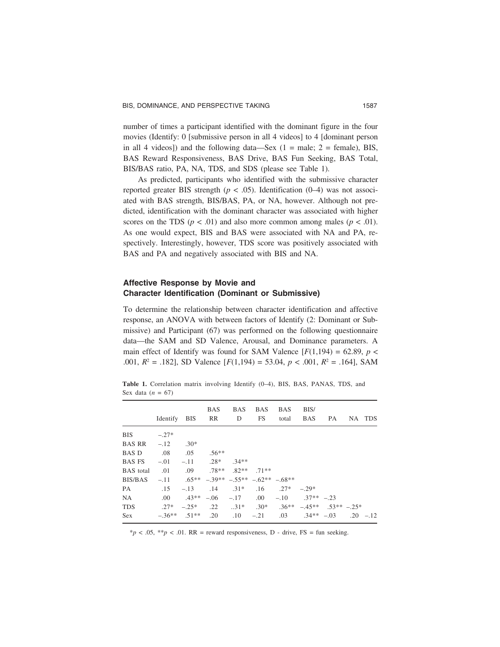number of times a participant identified with the dominant figure in the four movies (Identify: 0 [submissive person in all 4 videos] to 4 [dominant person in all 4 videos]) and the following data—Sex  $(1 = male; 2 = female)$ , BIS, BAS Reward Responsiveness, BAS Drive, BAS Fun Seeking, BAS Total, BIS/BAS ratio, PA, NA, TDS, and SDS (please see Table 1).

As predicted, participants who identified with the submissive character reported greater BIS strength ( $p < .05$ ). Identification (0–4) was not associated with BAS strength, BIS/BAS, PA, or NA, however. Although not predicted, identification with the dominant character was associated with higher scores on the TDS ( $p < .01$ ) and also more common among males ( $p < .01$ ). As one would expect, BIS and BAS were associated with NA and PA, respectively. Interestingly, however, TDS score was positively associated with BAS and PA and negatively associated with BIS and NA.

# **Affective Response by Movie and Character Identification (Dominant or Submissive)**

To determine the relationship between character identification and affective response, an ANOVA with between factors of Identify (2: Dominant or Submissive) and Participant (67) was performed on the following questionnaire data—the SAM and SD Valence, Arousal, and Dominance parameters. A main effect of Identify was found for SAM Valence  $[F(1,194) = 62.89, p <$ .001, *R*<sup>2</sup> = .182], SD Valence [*F*(1,194) = 53.04, *p* < .001, *R*<sup>2</sup> = .164], SAM

**Table 1.** Correlation matrix involving Identify (0–4), BIS, BAS, PANAS, TDS, and Sex data  $(n = 67)$ 

|                  | Identify | BIS                                       | <b>BAS</b><br>RR       | <b>BAS</b><br>D   | <b>BAS</b><br><b>FS</b> | <b>BAS</b><br>total | BIS/<br><b>BAS</b>                | PA. | NA TDS     |
|------------------|----------|-------------------------------------------|------------------------|-------------------|-------------------------|---------------------|-----------------------------------|-----|------------|
| <b>BIS</b>       | $-.27*$  |                                           |                        |                   |                         |                     |                                   |     |            |
| <b>BAS RR</b>    | $-.12$   | $.30*$                                    |                        |                   |                         |                     |                                   |     |            |
| <b>BAS</b> D     | .08      | .05                                       | $.56**$                |                   |                         |                     |                                   |     |            |
| <b>BAS FS</b>    | $-.01$   | $-.11$                                    | $.28*$                 | $-34**$           |                         |                     |                                   |     |            |
| <b>BAS</b> total | .01      | .09                                       | 78**                   | $82**$            | $71**$                  |                     |                                   |     |            |
| <b>BIS/BAS</b>   |          | $-11$ .65** $-0.39**$ $-0.55**$ $-0.68**$ |                        |                   |                         |                     |                                   |     |            |
| <b>PA</b>        | .15      | $-.13$                                    |                        | $.14 \qquad .31*$ | .16                     | $.27*$              | $-.29*$                           |     |            |
| NA.              | .00      |                                           | $.43***$ $-.06$ $-.17$ |                   | $.00\,$                 | $-.10$              | $.37** - .23$                     |     |            |
| <b>TDS</b>       | $.27*$   | $-.25*$                                   | .22                    | $.31*$            | $.30*$                  |                     | $.36***$ $-.45**$ $.53**$ $-.25*$ |     |            |
| <b>Sex</b>       | $-.36**$ | $.51**$                                   | .20                    | .10               | $-.21$                  | .03                 | $.34***$ -.03                     |     | $.20 - 12$ |

 $*p$  < .05,  $**p$  < .01. RR = reward responsiveness, D - drive, FS = fun seeking.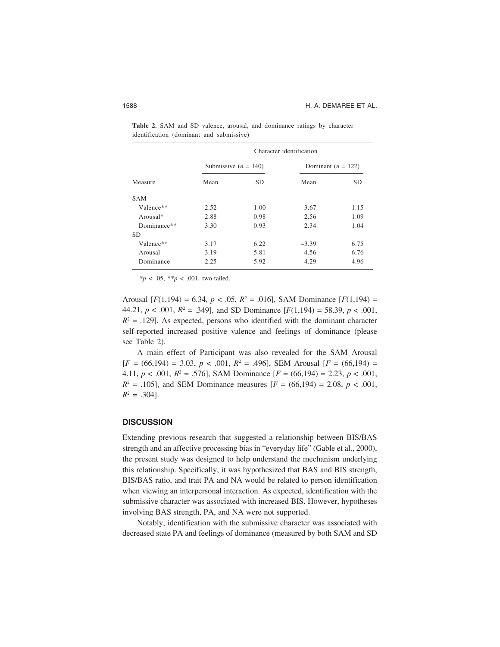|             | Character identification |           |                        |           |  |  |  |  |
|-------------|--------------------------|-----------|------------------------|-----------|--|--|--|--|
|             | Submissive $(n = 140)$   |           | Dominant ( $n = 122$ ) |           |  |  |  |  |
| Measure     | Mean                     | <b>SD</b> | Mean                   | <b>SD</b> |  |  |  |  |
| <b>SAM</b>  |                          |           |                        |           |  |  |  |  |
| Valence**   | 2.52                     | 1.00      | 3.67                   | 1.15      |  |  |  |  |
| Arousal $*$ | 2.88                     | 0.98      | 2.56                   | 1.09      |  |  |  |  |
| Dominance** | 3.30                     | 0.93      | 2.34                   | 1.04      |  |  |  |  |
| SD          |                          |           |                        |           |  |  |  |  |
| Valence**   | 3.17                     | 6.22      | $-3.39$                | 6.75      |  |  |  |  |
| Arousal     | 3.19                     | 5.81      | 4.56                   | 6.76      |  |  |  |  |
| Dominance   | 2.25                     | 5.92      | $-4.29$                | 4.96      |  |  |  |  |

**Table 2.** SAM and SD valence, arousal, and dominance ratings by character identification (dominant and submissive)

\**p* < .05, \*\**p* < .001, two-tailed.

Arousal  $[F(1,194) = 6.34, p < .05, R^2 = .016]$ , SAM Dominance  $[F(1,194) =$ 44.21,  $p < .001$ ,  $R^2 = .349$ ], and SD Dominance  $[F(1,194) = 58.39, p < .001,$  $R<sup>2</sup> = .129$ ]. As expected, persons who identified with the dominant character self-reported increased positive valence and feelings of dominance (please see Table 2).

A main effect of Participant was also revealed for the SAM Arousal  $[F = (66, 194) = 3.03, p < .001, R^2 = .496]$ , SEM Arousal  $[F = (66, 194) =$ 4.11, *p* < .001, *R*<sup>2</sup> = .576], SAM Dominance [*F* = (66,194) = 2.23, *p* < .001,  $R^2 = .105$ ], and SEM Dominance measures  $[F = (66, 194) = 2.08, p < .001,$  $R^2 = .304$ .

#### **DISCUSSION**

Extending previous research that suggested a relationship between BIS/BAS strength and an affective processing bias in "everyday life" (Gable et al., 2000), the present study was designed to help understand the mechanism underlying this relationship. Specifically, it was hypothesized that BAS and BIS strength, BIS/BAS ratio, and trait PA and NA would be related to person identification when viewing an interpersonal interaction. As expected, identification with the submissive character was associated with increased BIS. However, hypotheses involving BAS strength, PA, and NA were not supported.

Notably, identification with the submissive character was associated with decreased state PA and feelings of dominance (measured by both SAM and SD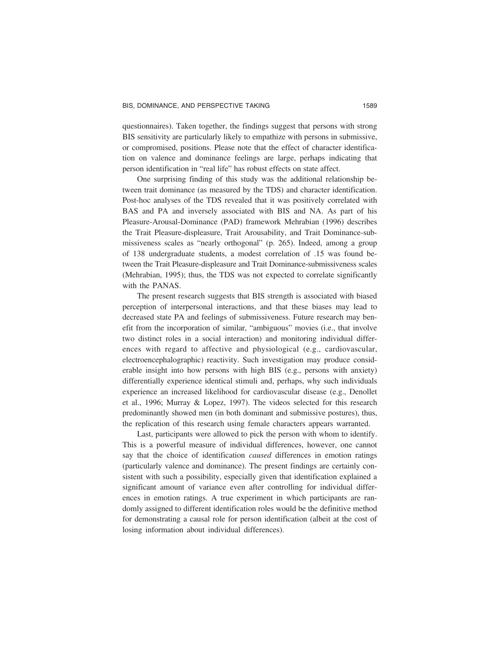questionnaires). Taken together, the findings suggest that persons with strong BIS sensitivity are particularly likely to empathize with persons in submissive, or compromised, positions. Please note that the effect of character identification on valence and dominance feelings are large, perhaps indicating that person identification in "real life" has robust effects on state affect.

One surprising finding of this study was the additional relationship between trait dominance (as measured by the TDS) and character identification. Post-hoc analyses of the TDS revealed that it was positively correlated with BAS and PA and inversely associated with BIS and NA. As part of his Pleasure-Arousal-Dominance (PAD) framework Mehrabian (1996) describes the Trait Pleasure-displeasure, Trait Arousability, and Trait Dominance-submissiveness scales as "nearly orthogonal" (p. 265). Indeed, among a group of 138 undergraduate students, a modest correlation of .15 was found between the Trait Pleasure-displeasure and Trait Dominance-submissiveness scales (Mehrabian, 1995); thus, the TDS was not expected to correlate significantly with the PANAS.

The present research suggests that BIS strength is associated with biased perception of interpersonal interactions, and that these biases may lead to decreased state PA and feelings of submissiveness. Future research may benefit from the incorporation of similar, "ambiguous" movies (i.e., that involve two distinct roles in a social interaction) and monitoring individual differences with regard to affective and physiological (e.g., cardiovascular, electroencephalographic) reactivity. Such investigation may produce considerable insight into how persons with high BIS (e.g., persons with anxiety) differentially experience identical stimuli and, perhaps, why such individuals experience an increased likelihood for cardiovascular disease (e.g., Denollet et al., 1996; Murray & Lopez, 1997). The videos selected for this research predominantly showed men (in both dominant and submissive postures), thus, the replication of this research using female characters appears warranted.

Last, participants were allowed to pick the person with whom to identify. This is a powerful measure of individual differences, however, one cannot say that the choice of identification *caused* differences in emotion ratings (particularly valence and dominance). The present findings are certainly consistent with such a possibility, especially given that identification explained a significant amount of variance even after controlling for individual differences in emotion ratings. A true experiment in which participants are randomly assigned to different identification roles would be the definitive method for demonstrating a causal role for person identification (albeit at the cost of losing information about individual differences).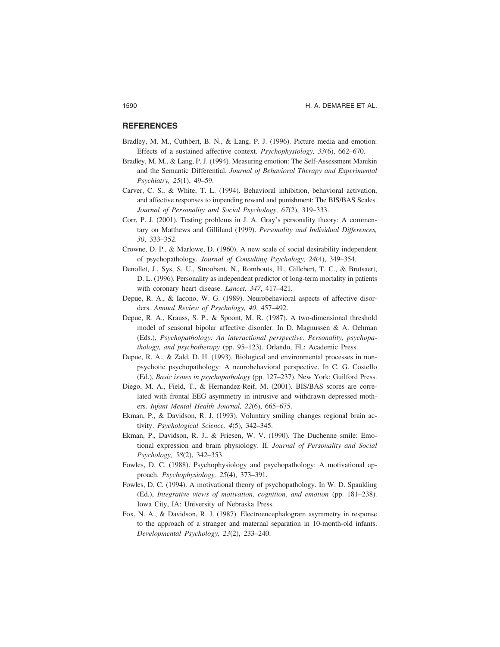#### **REFERENCES**

- Bradley, M. M., Cuthbert, B. N., & Lang, P. J. (1996). Picture media and emotion: Effects of a sustained affective context. *Psychophysiology, 33*(6), 662–670.
- Bradley, M. M., & Lang, P. J. (1994). Measuring emotion: The Self-Assessment Manikin and the Semantic Differential. *Journal of Behavioral Therapy and Experimental Psychiatry, 25*(1), 49–59.
- Carver, C. S., & White, T. L. (1994). Behavioral inhibition, behavioral activation, and affective responses to impending reward and punishment: The BIS/BAS Scales. *Journal of Personality and Social Psychology, 67*(2), 319–333.
- Corr, P. J. (2001). Testing problems in J. A. Gray's personality theory: A commentary on Matthews and Gilliland (1999). *Personality and Individual Differences, 30*, 333–352.
- Crowne, D. P., & Marlowe, D. (1960). A new scale of social desirability independent of psychopathology. *Journal of Consulting Psychology, 24*(4), 349–354.
- Denollet, J., Sys, S. U., Stroobant, N., Rombouts, H., Gillebert, T. C., & Brutsaert, D. L. (1996). Personality as independent predictor of long-term mortality in patients with coronary heart disease. *Lancet, 347*, 417–421.
- Depue, R. A., & Iacono, W. G. (1989). Neurobehavioral aspects of affective disorders. *Annual Review of Psychology, 40*, 457–492.
- Depue, R. A., Krauss, S. P., & Spoont, M. R. (1987). A two-dimensional threshold model of seasonal bipolar affective disorder. In D. Magnussen & A. Oehman (Eds.), *Psychopathology: An interactional perspective. Personality, psychopathology, and psychotherapy* (pp. 95–123). Orlando, FL: Academic Press.
- Depue, R. A., & Zald, D. H. (1993). Biological and environmental processes in nonpsychotic psychopathology: A neurobehavioral perspective. In C. G. Costello (Ed.), *Basic issues in psychopathology* (pp. 127–237). New York: Guilford Press.
- Diego, M. A., Field, T., & Hernandez-Reif, M. (2001). BIS/BAS scores are correlated with frontal EEG asymmetry in intrusive and withdrawn depressed mothers. *Infant Mental Health Journal, 22*(6), 665–675.
- Ekman, P., & Davidson, R. J. (1993). Voluntary smiling changes regional brain activity. *Psychological Science, 4*(5), 342–345.
- Ekman, P., Davidson, R. J., & Friesen, W. V. (1990). The Duchenne smile: Emotional expression and brain physiology. II. *Journal of Personality and Social Psychology, 58*(2), 342–353.
- Fowles, D. C. (1988). Psychophysiology and psychopathology: A motivational approach. *Psychophysiology, 25*(4), 373–391.
- Fowles, D. C. (1994). A motivational theory of psychopathology. In W. D. Spaulding (Ed.), *Integrative views of motivation, cognition, and emotion* (pp. 181–238). Iowa City, IA: University of Nebraska Press.
- Fox, N. A., & Davidson, R. J. (1987). Electroencephalogram asymmetry in response to the approach of a stranger and maternal separation in 10-month-old infants. *Developmental Psychology, 23*(2), 233–240.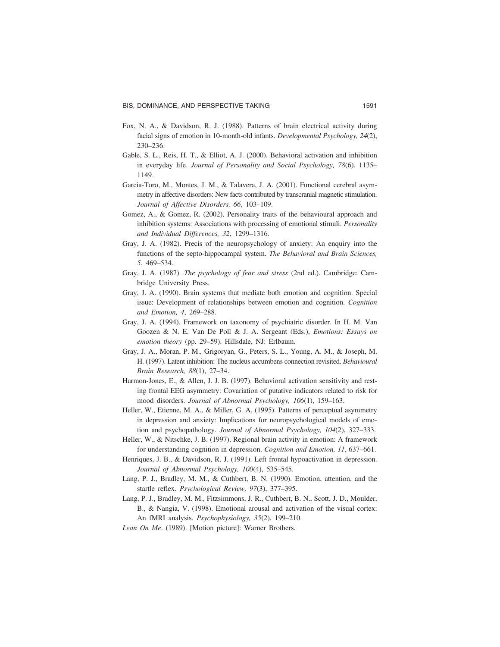- Fox, N. A., & Davidson, R. J. (1988). Patterns of brain electrical activity during facial signs of emotion in 10-month-old infants. *Developmental Psychology, 24*(2), 230–236.
- Gable, S. L., Reis, H. T., & Elliot, A. J. (2000). Behavioral activation and inhibition in everyday life. *Journal of Personality and Social Psychology, 78*(6), 1135– 1149.
- Garcia-Toro, M., Montes, J. M., & Talavera, J. A. (2001). Functional cerebral asymmetry in affective disorders: New facts contributed by transcranial magnetic stimulation. *Journal of Affective Disorders, 66*, 103–109.
- Gomez, A., & Gomez, R. (2002). Personality traits of the behavioural approach and inhibition systems: Associations with processing of emotional stimuli. *Personality and Individual Differences, 32*, 1299–1316.
- Gray, J. A. (1982). Precis of the neuropsychology of anxiety: An enquiry into the functions of the septo-hippocampal system. *The Behavioral and Brain Sciences, 5*, 469–534.
- Gray, J. A. (1987). *The psychology of fear and stress* (2nd ed.). Cambridge: Cambridge University Press.
- Gray, J. A. (1990). Brain systems that mediate both emotion and cognition. Special issue: Development of relationships between emotion and cognition. *Cognition and Emotion, 4*, 269–288.
- Gray, J. A. (1994). Framework on taxonomy of psychiatric disorder. In H. M. Van Goozen & N. E. Van De Poll & J. A. Sergeant (Eds.), *Emotions: Essays on emotion theory* (pp. 29–59). Hillsdale, NJ: Erlbaum.
- Gray, J. A., Moran, P. M., Grigoryan, G., Peters, S. L., Young, A. M., & Joseph, M. H. (1997). Latent inhibition: The nucleus accumbens connection revisited. *Behavioural Brain Research, 88*(1), 27–34.
- Harmon-Jones, E., & Allen, J. J. B. (1997). Behavioral activation sensitivity and resting frontal EEG asymmetry: Covariation of putative indicators related to risk for mood disorders. *Journal of Abnormal Psychology, 106*(1), 159–163.
- Heller, W., Etienne, M. A., & Miller, G. A. (1995). Patterns of perceptual asymmetry in depression and anxiety: Implications for neuropsychological models of emotion and psychopathology. *Journal of Abnormal Psychology, 104*(2), 327–333.
- Heller, W., & Nitschke, J. B. (1997). Regional brain activity in emotion: A framework for understanding cognition in depression. *Cognition and Emotion, 11*, 637–661.
- Henriques, J. B., & Davidson, R. J. (1991). Left frontal hypoactivation in depression. *Journal of Abnormal Psychology, 100*(4), 535–545.
- Lang, P. J., Bradley, M. M., & Cuthbert, B. N. (1990). Emotion, attention, and the startle reflex. *Psychological Review, 97*(3), 377–395.
- Lang, P. J., Bradley, M. M., Fitzsimmons, J. R., Cuthbert, B. N., Scott, J. D., Moulder, B., & Nangia, V. (1998). Emotional arousal and activation of the visual cortex: An fMRI analysis. *Psychophysiology, 35*(2), 199–210.
- *Lean On Me*. (1989). [Motion picture]: Warner Brothers.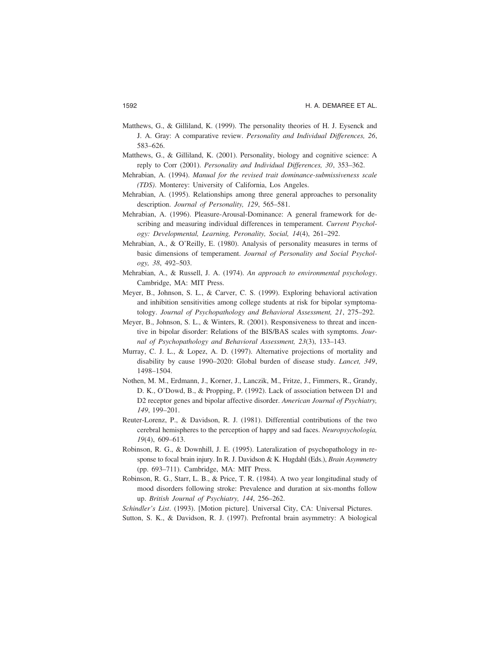- Matthews, G., & Gilliland, K. (1999). The personality theories of H. J. Eysenck and J. A. Gray: A comparative review. *Personality and Individual Differences, 26*, 583–626.
- Matthews, G., & Gilliland, K. (2001). Personality, biology and cognitive science: A reply to Corr (2001). *Personality and Individual Differences, 30*, 353–362.
- Mehrabian, A. (1994). *Manual for the revised trait dominance-submissiveness scale (TDS)*. Monterey: University of California, Los Angeles.
- Mehrabian, A. (1995). Relationships among three general approaches to personality description. *Journal of Personality, 129*, 565–581.
- Mehrabian, A. (1996). Pleasure-Arousal-Dominance: A general framework for describing and measuring individual differences in temperament. *Current Psychology: Developmental, Learning, Peronality, Social, 14*(4), 261–292.
- Mehrabian, A., & O'Reilly, E. (1980). Analysis of personality measures in terms of basic dimensions of temperament. *Journal of Personality and Social Psychology, 38*, 492–503.
- Mehrabian, A., & Russell, J. A. (1974). *An approach to environmental psychology*. Cambridge, MA: MIT Press.
- Meyer, B., Johnson, S. L., & Carver, C. S. (1999). Exploring behavioral activation and inhibition sensitivities among college students at risk for bipolar symptomatology. *Journal of Psychopathology and Behavioral Assessment, 21*, 275–292.
- Meyer, B., Johnson, S. L., & Winters, R. (2001). Responsiveness to threat and incentive in bipolar disorder: Relations of the BIS/BAS scales with symptoms. *Journal of Psychopathology and Behavioral Assessment, 23*(3), 133–143.
- Murray, C. J. L., & Lopez, A. D. (1997). Alternative projections of mortality and disability by cause 1990–2020: Global burden of disease study. *Lancet, 349*, 1498–1504.
- Nothen, M. M., Erdmann, J., Korner, J., Lanczik, M., Fritze, J., Fimmers, R., Grandy, D. K., O'Dowd, B., & Propping, P. (1992). Lack of association between D1 and D2 receptor genes and bipolar affective disorder. *American Journal of Psychiatry, 149*, 199–201.
- Reuter-Lorenz, P., & Davidson, R. J. (1981). Differential contributions of the two cerebral hemispheres to the perception of happy and sad faces. *Neuropsychologia, 19*(4), 609–613.
- Robinson, R. G., & Downhill, J. E. (1995). Lateralization of psychopathology in response to focal brain injury. In R. J. Davidson & K. Hugdahl (Eds.), *Brain Asymmetry* (pp. 693–711). Cambridge, MA: MIT Press.
- Robinson, R. G., Starr, L. B., & Price, T. R. (1984). A two year longitudinal study of mood disorders following stroke: Prevalence and duration at six-months follow up. *British Journal of Psychiatry, 144*, 256–262.

*Schindler's List*. (1993). [Motion picture]. Universal City, CA: Universal Pictures.

Sutton, S. K., & Davidson, R. J. (1997). Prefrontal brain asymmetry: A biological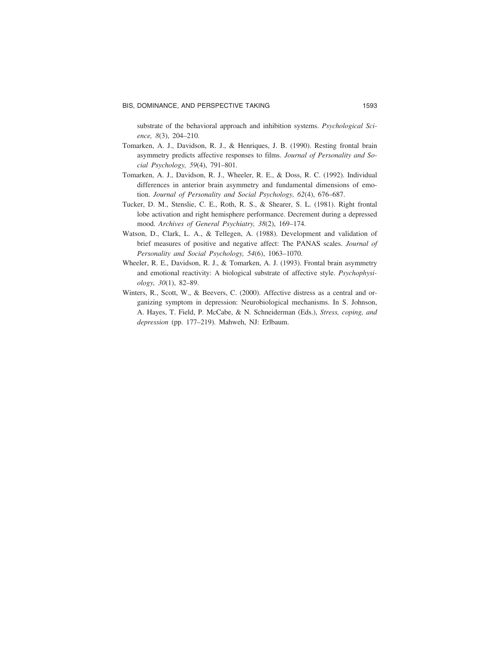substrate of the behavioral approach and inhibition systems. *Psychological Science, 8*(3), 204–210.

- Tomarken, A. J., Davidson, R. J., & Henriques, J. B. (1990). Resting frontal brain asymmetry predicts affective responses to films. *Journal of Personality and Social Psychology, 59*(4), 791–801.
- Tomarken, A. J., Davidson, R. J., Wheeler, R. E., & Doss, R. C. (1992). Individual differences in anterior brain asymmetry and fundamental dimensions of emotion. *Journal of Personality and Social Psychology, 62*(4), 676–687.
- Tucker, D. M., Stenslie, C. E., Roth, R. S., & Shearer, S. L. (1981). Right frontal lobe activation and right hemisphere performance. Decrement during a depressed mood. *Archives of General Psychiatry, 38*(2), 169–174.
- Watson, D., Clark, L. A., & Tellegen, A. (1988). Development and validation of brief measures of positive and negative affect: The PANAS scales. *Journal of Personality and Social Psychology, 54*(6), 1063–1070.
- Wheeler, R. E., Davidson, R. J., & Tomarken, A. J. (1993). Frontal brain asymmetry and emotional reactivity: A biological substrate of affective style. *Psychophysiology, 30*(1), 82–89.
- Winters, R., Scott, W., & Beevers, C. (2000). Affective distress as a central and organizing symptom in depression: Neurobiological mechanisms. In S. Johnson, A. Hayes, T. Field, P. McCabe, & N. Schneiderman (Eds.), *Stress, coping, and depression* (pp. 177–219). Mahweh, NJ: Erlbaum.